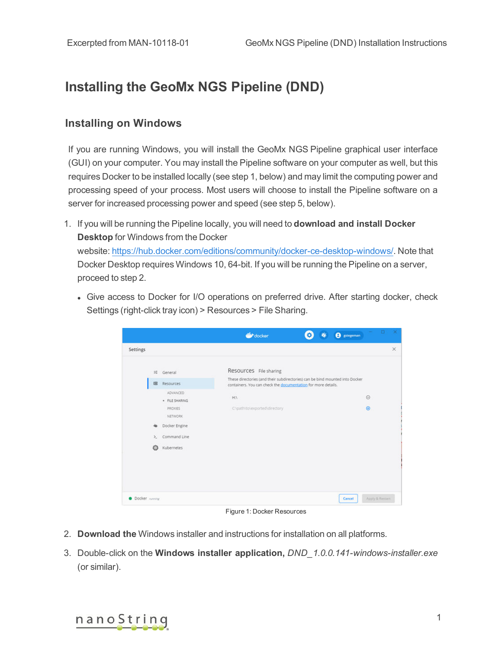## **Installing the GeoMx NGS Pipeline (DND)**

## **Installing on Windows**

If you are running Windows, you will install the GeoMx NGS Pipeline graphical user interface (GUI) on your computer. You may install the Pipeline software on your computer as well, but this requires Docker to be installed locally (see step 1, below) and may limit the computing power and processing speed of your process. Most users will choose to install the Pipeline software on a server for increased processing power and speed (see step 5, below).

- 1. If you will be running the Pipeline locally, you will need to **download and install Docker Desktop** for Windows from the Docker website:<https://hub.docker.com/editions/community/docker-ce-desktop-windows/>. Note that Docker Desktop requires Windows 10, 64-bit. If you will be running the Pipeline on a server, proceed to step 2.
	- Give access to Docker for I/O operations on preferred drive. After starting docker, check Settings (right-click tray icon) > Resources > File Sharing.

|                        |                            | docker <sup></sup>                                                                                                                            |  | A<br>gstegeman | Ð               |          |
|------------------------|----------------------------|-----------------------------------------------------------------------------------------------------------------------------------------------|--|----------------|-----------------|----------|
| Settings               |                            |                                                                                                                                               |  |                |                 | $\times$ |
| (主)                    | General                    | Resources File sharing                                                                                                                        |  |                |                 |          |
| 133                    | Resources                  | These directories (and their subdirectories) can be bind mounted into Docker<br>containers. You can check the documentation for more details. |  |                |                 |          |
|                        | ADVANCED<br>· FILE SHARING | HA.                                                                                                                                           |  |                | $\odot$         |          |
|                        | PROXIES.<br><b>NETWORK</b> | C:\path\to\exported\directory                                                                                                                 |  |                | $\circledcirc$  |          |
|                        | Docker Engine              |                                                                                                                                               |  |                |                 |          |
| ×.                     | Command Line               |                                                                                                                                               |  |                |                 |          |
| ణ                      | Kubernetes                 |                                                                                                                                               |  |                |                 |          |
|                        |                            |                                                                                                                                               |  |                |                 |          |
|                        |                            |                                                                                                                                               |  |                |                 |          |
|                        |                            |                                                                                                                                               |  |                |                 |          |
| · Docker <i>inning</i> |                            |                                                                                                                                               |  | Cancel         | Apply & Restart |          |

Figure 1: Docker Resources

- 2. **Download the** Windows installer and instructions for installation on all platforms.
- 3. Double-click on the **Windows installer application,** *DND\_1.0.0.141-windows-installer.exe* (or similar).

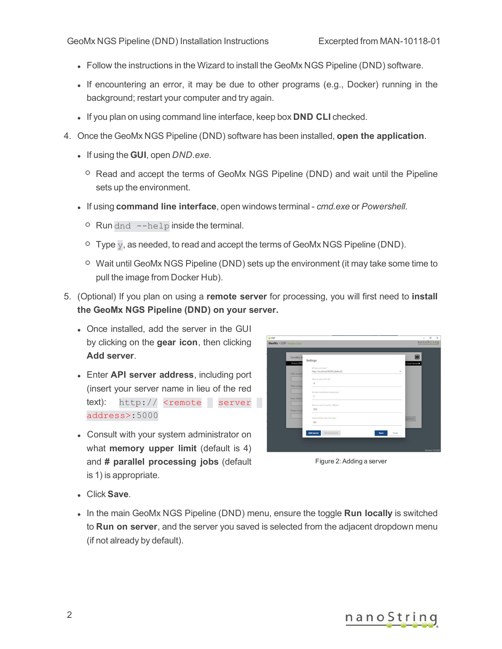- Follow the instructions in the Wizard to install the GeoMx NGS Pipeline (DND) software.
- If encountering an error, it may be due to other programs (e.g., Docker) running in the background; restart your computer and try again.
- **.** If you plan on using command line interface, keep box **DND CLI** checked.
- 4. Once the GeoMx NGS Pipeline (DND) software has been installed, **open the application**.
	- <sup>l</sup> If using the **GUI**, open *DND.exe*.
		- $\degree$  Read and accept the terms of GeoMx NGS Pipeline (DND) and wait until the Pipeline sets up the environment.
	- <sup>l</sup> If using **command line interface**, open windows terminal *cmd.exe* or *Powershell*.
		- $\circ$  Run dnd  $-\text{help}$  inside the terminal.
		- $\circ$  Type  $\rm v$ , as needed, to read and accept the terms of GeoMx NGS Pipeline (DND).
		- $\degree$  Wait until GeoMx NGS Pipeline (DND) sets up the environment (it may take some time to pull the image from Docker Hub).
- 5. (Optional) If you plan on using a **remote server** for processing, you will first need to **install the GeoMx NGS Pipeline (DND) on your server.**
	- Once installed, add the server in the GUI by clicking on the **gear icon**, then clicking **Add server**.
	- <sup>l</sup> Enter **API server address**, including port (insert your server name in lieu of the red text): http:// <remote server address>:5000
	- Consult with your system administrator on what **memory upper limit** (default is 4) and **# parallel processing jobs** (default is 1) is appropriate.





- <sup>l</sup> Click **Save**.
- . In the main GeoMx NGS Pipeline (DND) menu, ensure the toggle **Run locally** is switched to **Run on server**, and the server you saved is selected from the adjacent dropdown menu (if not already by default).